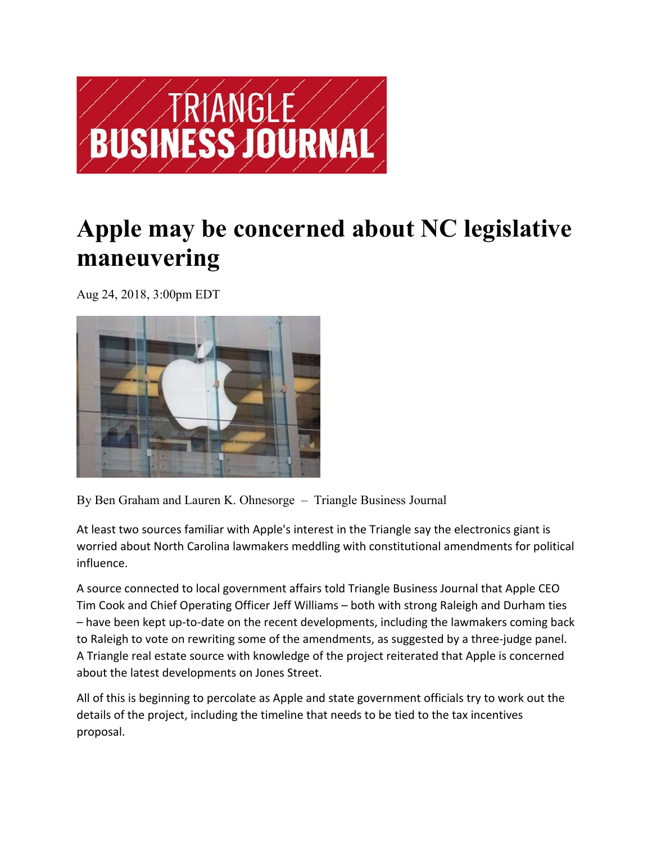

## **Apple may be concerned about NC legislative maneuvering**

Aug 24, 2018, 3:00pm EDT



By Ben Graham and Lauren K. Ohnesorge – Triangle Business Journal

At least two sources familiar with Apple's interest in the Triangle say the electronics giant is worried about North Carolina lawmakers meddling with constitutional amendments for political influence.

A source connected to local government affairs told Triangle Business Journal that Apple CEO Tim Cook and Chief Operating Officer Jeff Williams – both with strong Raleigh and Durham ties – have been kept up‐to‐date on the recent developments, including the lawmakers coming back to Raleigh to vote on rewriting some of the amendments, as suggested by a three‐judge panel. A Triangle real estate source with knowledge of the project reiterated that Apple is concerned about the latest developments on Jones Street.

All of this is beginning to percolate as Apple and state government officials try to work out the details of the project, including the timeline that needs to be tied to the tax incentives proposal.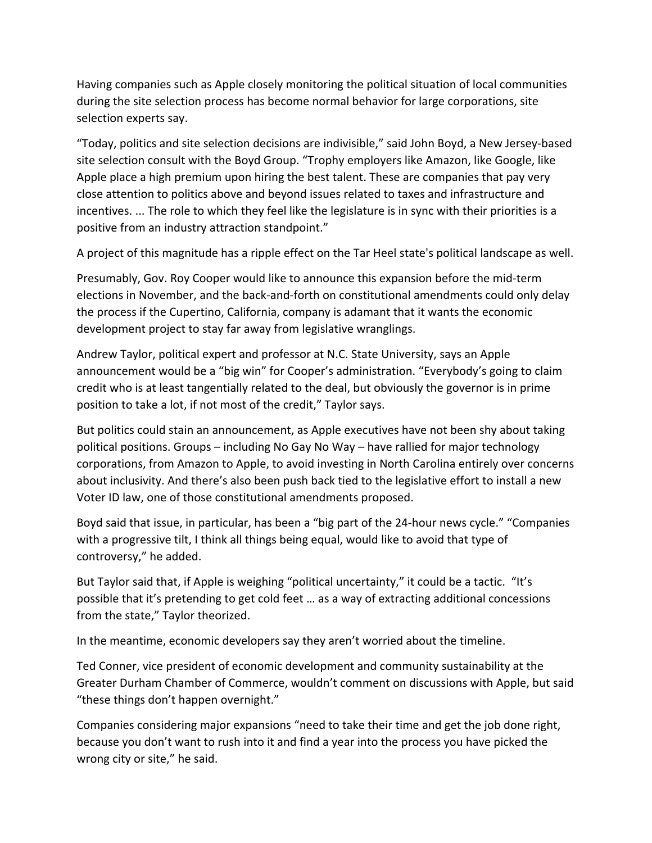Having companies such as Apple closely monitoring the political situation of local communities during the site selection process has become normal behavior for large corporations, site selection experts say.

"Today, politics and site selection decisions are indivisible," said John Boyd, a New Jersey‐based site selection consult with the Boyd Group. "Trophy employers like Amazon, like Google, like Apple place a high premium upon hiring the best talent. These are companies that pay very close attention to politics above and beyond issues related to taxes and infrastructure and incentives. ... The role to which they feel like the legislature is in sync with their priorities is a positive from an industry attraction standpoint."

A project of this magnitude has a ripple effect on the Tar Heel state's political landscape as well.

Presumably, Gov. Roy Cooper would like to announce this expansion before the mid‐term elections in November, and the back‐and‐forth on constitutional amendments could only delay the process if the Cupertino, California, company is adamant that it wants the economic development project to stay far away from legislative wranglings.

Andrew Taylor, political expert and professor at N.C. State University, says an Apple announcement would be a "big win" for Cooper's administration. "Everybody's going to claim credit who is at least tangentially related to the deal, but obviously the governor is in prime position to take a lot, if not most of the credit," Taylor says.

But politics could stain an announcement, as Apple executives have not been shy about taking political positions. Groups – including No Gay No Way – have rallied for major technology corporations, from Amazon to Apple, to avoid investing in North Carolina entirely over concerns about inclusivity. And there's also been push back tied to the legislative effort to install a new Voter ID law, one of those constitutional amendments proposed.

Boyd said that issue, in particular, has been a "big part of the 24‐hour news cycle." "Companies with a progressive tilt, I think all things being equal, would like to avoid that type of controversy," he added.

But Taylor said that, if Apple is weighing "political uncertainty," it could be a tactic. "It's possible that it's pretending to get cold feet … as a way of extracting additional concessions from the state," Taylor theorized.

In the meantime, economic developers say they aren't worried about the timeline.

Ted Conner, vice president of economic development and community sustainability at the Greater Durham Chamber of Commerce, wouldn't comment on discussions with Apple, but said "these things don't happen overnight."

Companies considering major expansions "need to take their time and get the job done right, because you don't want to rush into it and find a year into the process you have picked the wrong city or site," he said.